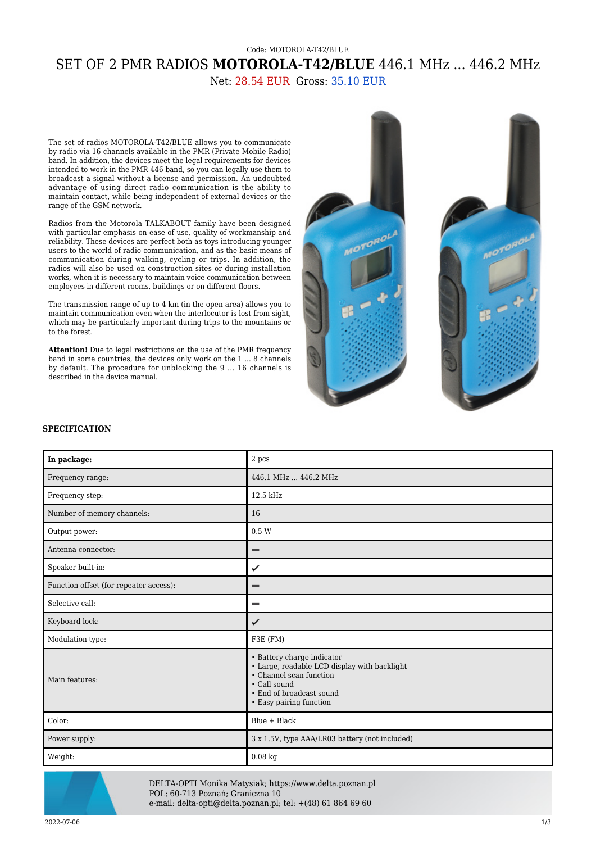#### Code: MOTOROLA-T42/BLUE

# SET OF 2 PMR RADIOS **MOTOROLA-T42/BLUE** 446.1 MHz ... 446.2 MHz

## Net: 28.54 EUR Gross: 35.10 EUR

The set of radios MOTOROLA-T42/BLUE allows you to communicate by radio via 16 channels available in the PMR (Private Mobile Radio) band. In addition, the devices meet the legal requirements for devices intended to work in the PMR 446 band, so you can legally use them to broadcast a signal without a license and permission. An undoubted advantage of using direct radio communication is the ability to maintain contact, while being independent of external devices or the range of the GSM network.

Radios from the Motorola TALKABOUT family have been designed with particular emphasis on ease of use, quality of workmanship and reliability. These devices are perfect both as toys introducing younger users to the world of radio communication, and as the basic means of communication during walking, cycling or trips. In addition, the radios will also be used on construction sites or during installation works, when it is necessary to maintain voice communication between employees in different rooms, buildings or on different floors.

The transmission range of up to 4 km (in the open area) allows you to maintain communication even when the interlocutor is lost from sight, which may be particularly important during trips to the mountains or to the forest.

**Attention!** Due to legal restrictions on the use of the PMR frequency band in some countries, the devices only work on the 1 ... 8 channels by default. The procedure for unblocking the 9 ... 16 channels is described in the device manual.



### **SPECIFICATION**

| In package:                            | 2 pcs                                                                                                                                                                        |
|----------------------------------------|------------------------------------------------------------------------------------------------------------------------------------------------------------------------------|
| Frequency range:                       | 446.1 MHz  446.2 MHz                                                                                                                                                         |
| Frequency step:                        | 12.5 kHz                                                                                                                                                                     |
| Number of memory channels:             | 16                                                                                                                                                                           |
| Output power:                          | 0.5W                                                                                                                                                                         |
| Antenna connector:                     | -                                                                                                                                                                            |
| Speaker built-in:                      | ✓                                                                                                                                                                            |
| Function offset (for repeater access): | -                                                                                                                                                                            |
| Selective call:                        | -                                                                                                                                                                            |
| Keyboard lock:                         | ✓                                                                                                                                                                            |
| Modulation type:                       | F3E (FM)                                                                                                                                                                     |
| Main features:                         | • Battery charge indicator<br>• Large, readable LCD display with backlight<br>• Channel scan function<br>• Call sound<br>• End of broadcast sound<br>• Easy pairing function |
| Color:                                 | Blue + Black                                                                                                                                                                 |
| Power supply:                          | 3 x 1.5V, type AAA/LR03 battery (not included)                                                                                                                               |
| Weight:                                | $0.08$ kg                                                                                                                                                                    |



DELTA-OPTI Monika Matysiak; https://www.delta.poznan.pl POL; 60-713 Poznań; Graniczna 10 e-mail: delta-opti@delta.poznan.pl; tel: +(48) 61 864 69 60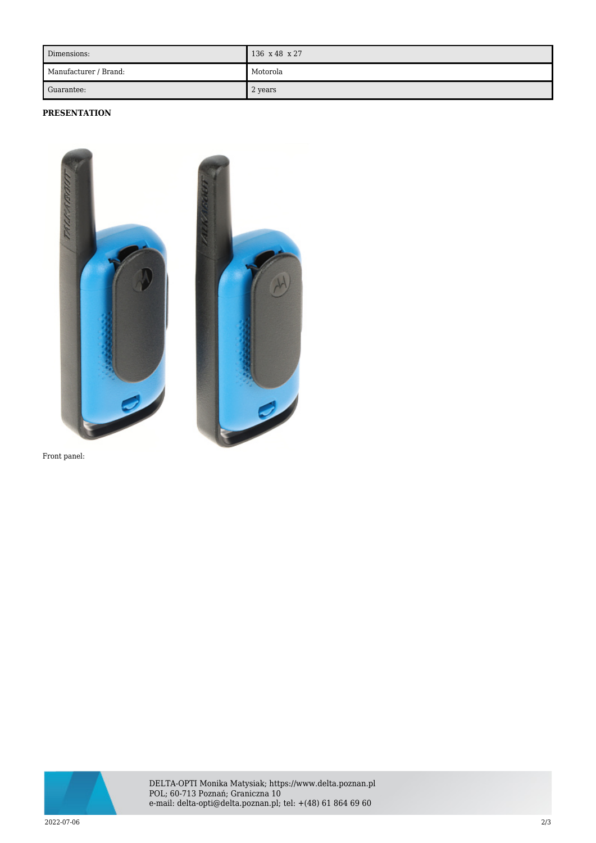| Dimensions:           | 136 x 48 x 27 |
|-----------------------|---------------|
| Manufacturer / Brand: | Motorola      |
| Guarantee:            | 2 years       |

### **PRESENTATION**



Front panel:



DELTA-OPTI Monika Matysiak; https://www.delta.poznan.pl POL; 60-713 Poznań; Graniczna 10 e-mail: delta-opti@delta.poznan.pl; tel: +(48) 61 864 69 60

2022-07-06 2/3